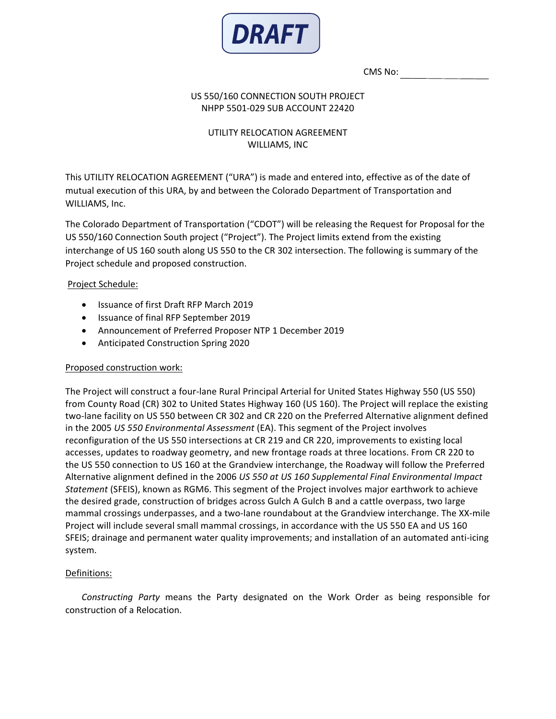

CMS No:

### US 550/160 CONNECTION SOUTH PROJECT NHPP 5501-029 SUB ACCOUNT 22420

# UTILITY RELOCATION AGREEMENT WILLIAMS, INC

This UTILITY RELOCATION AGREEMENT ("URA") is made and entered into, effective as of the date of mutual execution of this URA, by and between the Colorado Department of Transportation and WILLIAMS, Inc.

The Colorado Department of Transportation ("CDOT") will be releasing the Request for Proposal for the US 550/160 Connection South project ("Project"). The Project limits extend from the existing interchange of US 160 south along US 550 to the CR 302 intersection. The following is summary of the Project schedule and proposed construction.

## Project Schedule:

- Issuance of first Draft RFP March 2019
- Issuance of final RFP September 2019
- Announcement of Preferred Proposer NTP 1 December 2019
- Anticipated Construction Spring 2020

### Proposed construction work:

The Project will construct a four-lane Rural Principal Arterial for United States Highway 550 (US 550) from County Road (CR) 302 to United States Highway 160 (US 160). The Project will replace the existing two-lane facility on US 550 between CR 302 and CR 220 on the Preferred Alternative alignment defined in the 2005 *US 550 Environmental Assessment* (EA). This segment of the Project involves reconfiguration of the US 550 intersections at CR 219 and CR 220, improvements to existing local accesses, updates to roadway geometry, and new frontage roads at three locations. From CR 220 to the US 550 connection to US 160 at the Grandview interchange, the Roadway will follow the Preferred Alternative alignment defined in the 2006 *US 550 at US 160 Supplemental Final Environmental Impact Statement* (SFEIS), known as RGM6. This segment of the Project involves major earthwork to achieve the desired grade, construction of bridges across Gulch A Gulch B and a cattle overpass, two large mammal crossings underpasses, and a two-lane roundabout at the Grandview interchange. The XX-mile Project will include several small mammal crossings, in accordance with the US 550 EA and US 160 SFEIS; drainage and permanent water quality improvements; and installation of an automated anti-icing system.

## Definitions:

*Constructing Party* means the Party designated on the Work Order as being responsible for construction of a Relocation.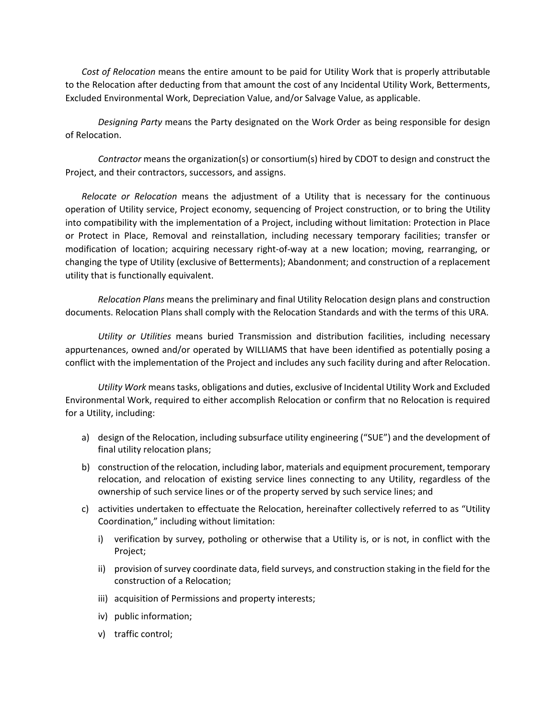*Cost of Relocation* means the entire amount to be paid for Utility Work that is properly attributable to the Relocation after deducting from that amount the cost of any Incidental Utility Work, Betterments, Excluded Environmental Work, Depreciation Value, and/or Salvage Value, as applicable.

*Designing Party* means the Party designated on the Work Order as being responsible for design of Relocation.

*Contractor* means the organization(s) or consortium(s) hired by CDOT to design and construct the Project, and their contractors, successors, and assigns.

*Relocate or Relocation* means the adjustment of a Utility that is necessary for the continuous operation of Utility service, Project economy, sequencing of Project construction, or to bring the Utility into compatibility with the implementation of a Project, including without limitation: Protection in Place or Protect in Place, Removal and reinstallation, including necessary temporary facilities; transfer or modification of location; acquiring necessary right-of-way at a new location; moving, rearranging, or changing the type of Utility (exclusive of Betterments); Abandonment; and construction of a replacement utility that is functionally equivalent.

*Relocation Plans* means the preliminary and final Utility Relocation design plans and construction documents. Relocation Plans shall comply with the Relocation Standards and with the terms of this URA.

*Utility or Utilities* means buried Transmission and distribution facilities, including necessary appurtenances, owned and/or operated by WILLIAMS that have been identified as potentially posing a conflict with the implementation of the Project and includes any such facility during and after Relocation.

*Utility Work* means tasks, obligations and duties, exclusive of Incidental Utility Work and Excluded Environmental Work, required to either accomplish Relocation or confirm that no Relocation is required for a Utility, including:

- a) design of the Relocation, including subsurface utility engineering ("SUE") and the development of final utility relocation plans;
- b) construction of the relocation, including labor, materials and equipment procurement, temporary relocation, and relocation of existing service lines connecting to any Utility, regardless of the ownership of such service lines or of the property served by such service lines; and
- c) activities undertaken to effectuate the Relocation, hereinafter collectively referred to as "Utility Coordination," including without limitation:
	- i) verification by survey, potholing or otherwise that a Utility is, or is not, in conflict with the Project;
	- ii) provision of survey coordinate data, field surveys, and construction staking in the field for the construction of a Relocation;
	- iii) acquisition of Permissions and property interests;
	- iv) public information;
	- v) traffic control;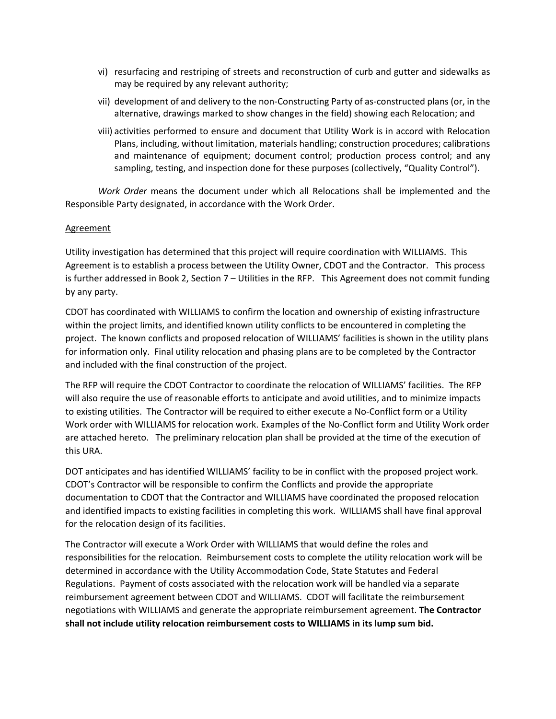- vi) resurfacing and restriping of streets and reconstruction of curb and gutter and sidewalks as may be required by any relevant authority;
- vii) development of and delivery to the non-Constructing Party of as-constructed plans (or, in the alternative, drawings marked to show changes in the field) showing each Relocation; and
- viii) activities performed to ensure and document that Utility Work is in accord with Relocation Plans, including, without limitation, materials handling; construction procedures; calibrations and maintenance of equipment; document control; production process control; and any sampling, testing, and inspection done for these purposes (collectively, "Quality Control").

*Work Order* means the document under which all Relocations shall be implemented and the Responsible Party designated, in accordance with the Work Order.

### **Agreement**

Utility investigation has determined that this project will require coordination with WILLIAMS. This Agreement is to establish a process between the Utility Owner, CDOT and the Contractor. This process is further addressed in Book 2, Section 7 – Utilities in the RFP. This Agreement does not commit funding by any party.

CDOT has coordinated with WILLIAMS to confirm the location and ownership of existing infrastructure within the project limits, and identified known utility conflicts to be encountered in completing the project. The known conflicts and proposed relocation of WILLIAMS' facilities is shown in the utility plans for information only. Final utility relocation and phasing plans are to be completed by the Contractor and included with the final construction of the project.

The RFP will require the CDOT Contractor to coordinate the relocation of WILLIAMS' facilities. The RFP will also require the use of reasonable efforts to anticipate and avoid utilities, and to minimize impacts to existing utilities. The Contractor will be required to either execute a No-Conflict form or a Utility Work order with WILLIAMS for relocation work. Examples of the No-Conflict form and Utility Work order are attached hereto. The preliminary relocation plan shall be provided at the time of the execution of this URA.

DOT anticipates and has identified WILLIAMS' facility to be in conflict with the proposed project work. CDOT's Contractor will be responsible to confirm the Conflicts and provide the appropriate documentation to CDOT that the Contractor and WILLIAMS have coordinated the proposed relocation and identified impacts to existing facilities in completing this work. WILLIAMS shall have final approval for the relocation design of its facilities.

The Contractor will execute a Work Order with WILLIAMS that would define the roles and responsibilities for the relocation. Reimbursement costs to complete the utility relocation work will be determined in accordance with the Utility Accommodation Code, State Statutes and Federal Regulations. Payment of costs associated with the relocation work will be handled via a separate reimbursement agreement between CDOT and WILLIAMS. CDOT will facilitate the reimbursement negotiations with WILLIAMS and generate the appropriate reimbursement agreement. **The Contractor shall not include utility relocation reimbursement costs to WILLIAMS in its lump sum bid.**